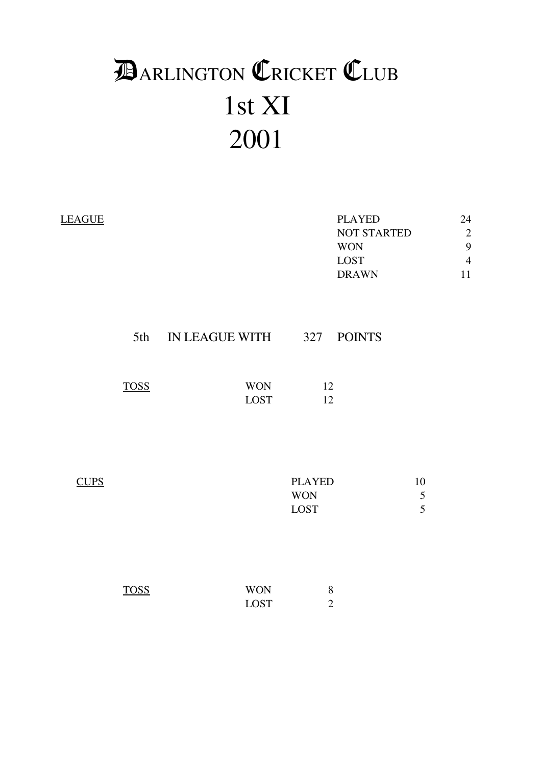# 1st XI 2001 **DARLINGTON CRICKET CLUB**

| <b>LEAGUE</b> |             |                           |                                     | <b>PLAYED</b><br>NOT STARTED<br><b>WON</b><br><b>LOST</b><br><b>DRAWN</b> | 24<br>$\overline{c}$<br>9<br>$\overline{4}$<br>11 |
|---------------|-------------|---------------------------|-------------------------------------|---------------------------------------------------------------------------|---------------------------------------------------|
|               | 5th         | IN LEAGUE WITH            | 327                                 | <b>POINTS</b>                                                             |                                                   |
|               | <b>TOSS</b> | <b>WON</b><br><b>LOST</b> | 12<br>12                            |                                                                           |                                                   |
| <b>CUPS</b>   |             |                           | <b>PLAYED</b><br><b>WON</b><br>LOST |                                                                           | 10<br>$\sqrt{5}$<br>5                             |
|               | <b>TOSS</b> | <b>WON</b><br><b>LOST</b> | $8\,$<br>$\overline{2}$             |                                                                           |                                                   |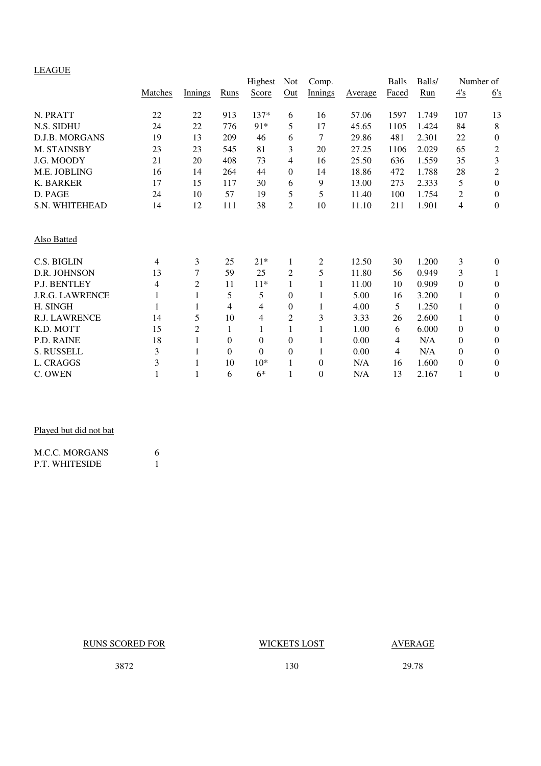# LEAGUE

| <u>LL 1001</u>         |         |                |              | Highest        | Not            | Comp.          |                | <b>Balls</b>   | Balls/ |                  | Number of        |
|------------------------|---------|----------------|--------------|----------------|----------------|----------------|----------------|----------------|--------|------------------|------------------|
|                        | Matches | Innings        | Runs         | Score          | Out            | <b>Innings</b> | <b>Average</b> | Faced          | Run    | $\frac{4's}{4}$  | 6's              |
| N. PRATT               | 22      | $22\,$         | 913          | 137*           | 6              | 16             | 57.06          | 1597           | 1.749  | 107              | 13               |
| N.S. SIDHU             | 24      | 22             | 776          | 91*            | 5              | 17             | 45.65          | 1105           | 1.424  | 84               | 8                |
| D.J.B. MORGANS         | 19      | 13             | 209          | 46             | 6              | 7              | 29.86          | 481            | 2.301  | 22               | $\boldsymbol{0}$ |
| M. STAINSBY            | 23      | 23             | 545          | 81             | 3              | 20             | 27.25          | 1106           | 2.029  | 65               | $\sqrt{2}$       |
| J.G. MOODY             | 21      | 20             | 408          | 73             | 4              | 16             | 25.50          | 636            | 1.559  | 35               | $\mathfrak{Z}$   |
| M.E. JOBLING           | 16      | 14             | 264          | 44             | $\Omega$       | 14             | 18.86          | 472            | 1.788  | $28\,$           | $\boldsymbol{2}$ |
| <b>K. BARKER</b>       | 17      | 15             | 117          | 30             | 6              | 9              | 13.00          | 273            | 2.333  | 5                | $\boldsymbol{0}$ |
| D. PAGE                | 24      | 10             | 57           | 19             | 5              | 5              | 11.40          | 100            | 1.754  | 2                | $\boldsymbol{0}$ |
| S.N. WHITEHEAD         | 14      | 12             | 111          | 38             | $\overline{2}$ | 10             | 11.10          | 211            | 1.901  | 4                | $\boldsymbol{0}$ |
| <b>Also Batted</b>     |         |                |              |                |                |                |                |                |        |                  |                  |
| C.S. BIGLIN            | 4       | 3              | 25           | $21*$          | 1              | $\mathfrak{2}$ | 12.50          | 30             | 1.200  | 3                | $\overline{0}$   |
| D.R. JOHNSON           | 13      | 7              | 59           | 25             | 2              | 5              | 11.80          | 56             | 0.949  | 3                | 1                |
| P.J. BENTLEY           | 4       | 2              | 11           | $11*$          | 1              | 1              | 11.00          | 10             | 0.909  | $\boldsymbol{0}$ | $\boldsymbol{0}$ |
| <b>J.R.G. LAWRENCE</b> |         | 1              | 5            | 5              | $\theta$       | 1              | 5.00           | 16             | 3.200  | 1                | $\theta$         |
| H. SINGH               |         | 1              | 4            | $\overline{4}$ | $\Omega$       | 1              | 4.00           | 5              | 1.250  | 1                | $\theta$         |
| R.J. LAWRENCE          | 14      | 5              | 10           | 4              | $\overline{2}$ | 3              | 3.33           | 26             | 2.600  | $\mathbf{1}$     | $\boldsymbol{0}$ |
| K.D. MOTT              | 15      | $\overline{c}$ | 1            | 1              | 1              | 1              | 1.00           | 6              | 6.000  | $\boldsymbol{0}$ | $\theta$         |
| P.D. RAINE             | 18      | 1              | $\mathbf{0}$ | $\mathbf{0}$   | $\theta$       | 1              | 0.00           | $\overline{4}$ | N/A    | 0                | $\boldsymbol{0}$ |
| S. RUSSELL             | 3       |                | $\Omega$     | $\mathbf{0}$   | $\Omega$       | 1              | 0.00           | $\overline{4}$ | N/A    | $\boldsymbol{0}$ | $\theta$         |
| L. CRAGGS              | 3       |                | 10           | $10*$          | 1              | $\theta$       | N/A            | 16             | 1.600  | $\boldsymbol{0}$ | $\theta$         |
| C. OWEN                |         | 1              | 6            | $6*$           | 1              | $\mathbf{0}$   | N/A            | 13             | 2.167  | 1                | $\boldsymbol{0}$ |

# Played but did not bat

| <b>M.C.C. MORGANS</b> |  |
|-----------------------|--|
| <b>P.T. WHITESIDE</b> |  |

# RUNS SCORED FOR WICKETS LOST AVERAGE

3872 130 29.78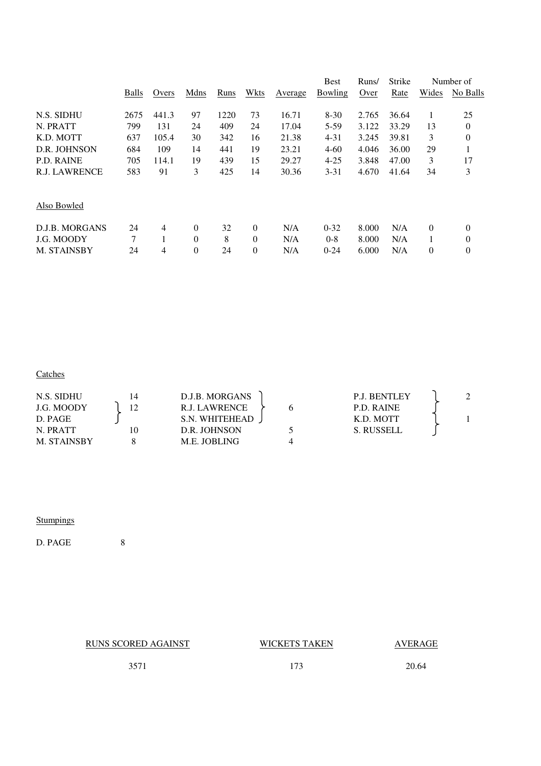|              |       |          |      |                |         | <b>Best</b> | Runs/ | <b>Strike</b> |                  | Number of    |
|--------------|-------|----------|------|----------------|---------|-------------|-------|---------------|------------------|--------------|
| <b>Balls</b> | Overs | Mdns     | Runs | Wkts           | Average | Bowling     | Over  | Rate          | Wides            | No Balls     |
| 2675         | 441.3 | 97       | 1220 | 73             | 16.71   | $8-30$      | 2.765 | 36.64         | 1                | 25           |
| 799          | 131   | 24       | 409  | 24             | 17.04   | $5-59$      | 3.122 | 33.29         | 13               | $\mathbf{0}$ |
| 637          | 105.4 | 30       | 342  | 16             | 21.38   | $4 - 31$    | 3.245 | 39.81         | 3                | $\theta$     |
| 684          | 109   | 14       | 441  | 19             | 23.21   | $4 - 60$    | 4.046 | 36.00         | 29               | 1            |
| 705          | 114.1 | 19       | 439  | 15             | 29.27   | $4 - 25$    | 3.848 | 47.00         | 3                | 17           |
| 583          | 91    | 3        | 425  | 14             | 30.36   | $3 - 31$    | 4.670 | 41.64         | 34               | 3            |
|              |       |          |      |                |         |             |       |               |                  |              |
| 24           | 4     | $\Omega$ | 32   | $\theta$       | N/A     | $0 - 32$    | 8.000 | N/A           | $\theta$         | $\theta$     |
| 7            |       | $\Omega$ | 8    | $\theta$       | N/A     | $0 - 8$     | 8.000 | N/A           |                  | $\theta$     |
| 24           | 4     | $\theta$ | 24   | $\overline{0}$ | N/A     | $0 - 24$    | 6.000 | N/A           | $\boldsymbol{0}$ | 0            |
|              |       |          |      |                |         |             |       |               |                  |              |

### **Catches Catches**

| N.S. SIDHU         | D.J.B. MORGANS | <b>P.J. BENTLEY</b> |  |
|--------------------|----------------|---------------------|--|
| J.G. MOODY         | R.J. LAWRENCE  | P.D. RAINE          |  |
| D. PAGE            | S.N. WHITEHEAD | K.D. MOTT           |  |
| N. PRATT           | D.R. JOHNSON   | S. RUSSELL          |  |
| <b>M. STAINSBY</b> | M.E. JOBLING   |                     |  |

### **Stumpings**

D. PAGE 8

RUNS SCORED AGAINST WICKETS TAKEN AVERAGE

3571 173 20.64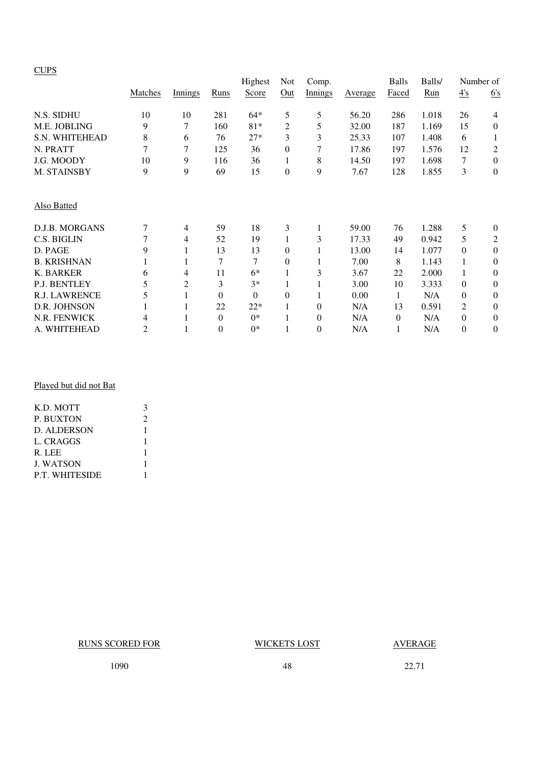# **CUPS**

|                      |                |                |                | Highest  | Not              | Comp.    |                | <b>Balls</b> | Balls/ |          | Number of      |
|----------------------|----------------|----------------|----------------|----------|------------------|----------|----------------|--------------|--------|----------|----------------|
|                      | Matches        | <b>Innings</b> | Runs           | Score    | Out              | Innings  | <b>Average</b> | Faced        | Run    | 4's      | 6's            |
| N.S. SIDHU           | 10             | 10             | 281            | $64*$    | 5                | 5        | 56.20          | 286          | 1.018  | 26       | 4              |
| M.E. JOBLING         | 9              | 7              | 160            | $81*$    | 2                | 5        | 32.00          | 187          | 1.169  | 15       | $\theta$       |
| S.N. WHITEHEAD       | 8              | 6              | 76             | $27*$    | 3                | 3        | 25.33          | 107          | 1.408  | 6        | 1              |
| N. PRATT             | 7              | 7              | 125            | 36       | $\mathbf{0}$     | 7        | 17.86          | 197          | 1.576  | 12       | $\overline{c}$ |
| J.G. MOODY           | 10             | 9              | 116            | 36       | 1                | 8        | 14.50          | 197          | 1.698  | 7        | $\mathbf{0}$   |
| M. STAINSBY          | 9              | 9              | 69             | 15       | $\boldsymbol{0}$ | 9        | 7.67           | 128          | 1.855  | 3        | $\theta$       |
| Also Batted          |                |                |                |          |                  |          |                |              |        |          |                |
| D.J.B. MORGANS       | 7              | 4              | 59             | 18       | 3                |          | 59.00          | 76           | 1.288  | 5        | $\theta$       |
| C.S. BIGLIN          | 7              | 4              | 52             | 19       | 1                | 3        | 17.33          | 49           | 0.942  | 5        | $\overline{c}$ |
| D. PAGE              | 9              | 1              | 13             | 13       | $\mathbf{0}$     |          | 13.00          | 14           | 1.077  | $\Omega$ | $\theta$       |
| <b>B. KRISHNAN</b>   |                | 1              | 7              | 7        | $\mathbf{0}$     |          | 7.00           | 8            | 1.143  |          | $\theta$       |
| K. BARKER            | 6              | 4              | 11             | $6*$     | 1                | 3        | 3.67           | 22           | 2.000  | 1        | $\theta$       |
| P.J. BENTLEY         | 5              | 2              | 3              | $3*$     |                  |          | 3.00           | 10           | 3.333  | $\Omega$ | $\theta$       |
| <b>R.J. LAWRENCE</b> | 5              | 1              | $\theta$       | $\Omega$ | $\mathbf{0}$     |          | 0.00           | 1            | N/A    | $\Omega$ | $\theta$       |
| D.R. JOHNSON         |                |                | 22             | $22*$    | 1                | $\Omega$ | N/A            | 13           | 0.591  | 2        | $\theta$       |
| N.R. FENWICK         | 4              |                | $\theta$       | $0*$     |                  | $\theta$ | N/A            | $\theta$     | N/A    | $\Omega$ | $\theta$       |
| A. WHITEHEAD         | $\overline{2}$ |                | $\overline{0}$ | $0*$     |                  | 0        | N/A            | 1            | N/A    | $\Omega$ | $\theta$       |

# Played but did not Bat

| K.D. MOTT             |   |
|-----------------------|---|
| <b>P. BUXTON</b>      | 2 |
| D. ALDERSON           |   |
| L. CRAGGS             |   |
| R. LEE                |   |
| <b>J. WATSON</b>      |   |
| <b>P.T. WHITESIDE</b> |   |
|                       |   |

RUNS SCORED FOR WICKETS LOST AVERAGE

1090 48 22.71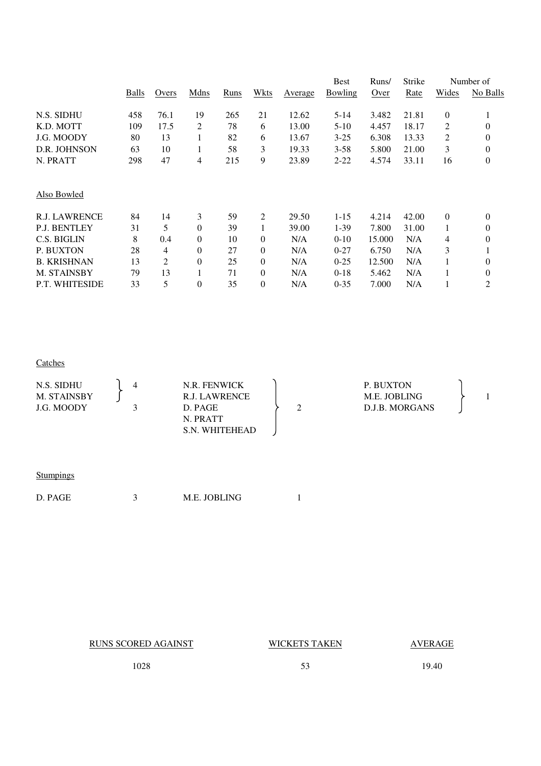|                      |              |       |                  |      |                |                        | Best     | Runs/  | Strike |                  | Number of        |
|----------------------|--------------|-------|------------------|------|----------------|------------------------|----------|--------|--------|------------------|------------------|
|                      | <b>Balls</b> | Overs | Mdns             | Runs | Wkts           | <b>A</b> <u>verage</u> | Bowling  | Over   | Rate   | Wides            | No Balls         |
| N.S. SIDHU           | 458          | 76.1  | 19               | 265  | 21             | 12.62                  | 5-14     | 3.482  | 21.81  | $\theta$         |                  |
| K.D. MOTT            | 109          | 17.5  | 2                | 78   | 6              | 13.00                  | $5-10$   | 4.457  | 18.17  | 2                | $\boldsymbol{0}$ |
| J.G. MOODY           | 80           | 13    | 1                | 82   | 6              | 13.67                  | $3 - 25$ | 6.308  | 13.33  | 2                | $\boldsymbol{0}$ |
| D.R. JOHNSON         | 63           | 10    | 1                | 58   | 3              | 19.33                  | $3 - 58$ | 5.800  | 21.00  | 3                | $\boldsymbol{0}$ |
| N. PRATT             | 298          | 47    | 4                | 215  | 9              | 23.89                  | $2 - 22$ | 4.574  | 33.11  | 16               | $\boldsymbol{0}$ |
| Also Bowled          |              |       |                  |      |                |                        |          |        |        |                  |                  |
| <b>R.J. LAWRENCE</b> | 84           | 14    | 3                | 59   | 2              | 29.50                  | $1 - 15$ | 4.214  | 42.00  | $\boldsymbol{0}$ | $\boldsymbol{0}$ |
| <b>P.J. BENTLEY</b>  | 31           | 5     | $\overline{0}$   | 39   | 1              | 39.00                  | $1-39$   | 7.800  | 31.00  |                  | 0                |
| C.S. BIGLIN          | 8            | 0.4   | $\overline{0}$   | 10   | $\theta$       | N/A                    | $0-10$   | 15.000 | N/A    | 4                | $\overline{0}$   |
| P. BUXTON            | 28           | 4     | $\overline{0}$   | 27   | $\theta$       | N/A                    | $0 - 27$ | 6.750  | N/A    | 3                |                  |
| <b>B. KRISHNAN</b>   | 13           | 2     | $\boldsymbol{0}$ | 25   | $\theta$       | N/A                    | $0 - 25$ | 12.500 | N/A    |                  | $\boldsymbol{0}$ |
| M. STAINSBY          | 79           | 13    | 1                | 71   | $\theta$       | N/A                    | $0-18$   | 5.462  | N/A    |                  | 0                |
| P.T. WHITESIDE       | 33           | 5     | $\theta$         | 35   | $\overline{0}$ | N/A                    | $0 - 35$ | 7.000  | N/A    |                  | $\overline{2}$   |

### **Catches**

| N.S. SIDHU<br>M. STAINSBY<br>J.G. MOODY | N.R. FENWICK<br>R.J. LAWRENCE<br>D. PAGE<br>N. PRATT<br>S.N. WHITEHEAD |  | P. BUXTON<br>M.E. JOBLING<br>D.J.B. MORGANS |  |
|-----------------------------------------|------------------------------------------------------------------------|--|---------------------------------------------|--|
|                                         |                                                                        |  |                                             |  |

| Stumpings |  |
|-----------|--|
|           |  |

RUNS SCORED AGAINST WICKETS TAKEN AVERAGE

1028 53 19.40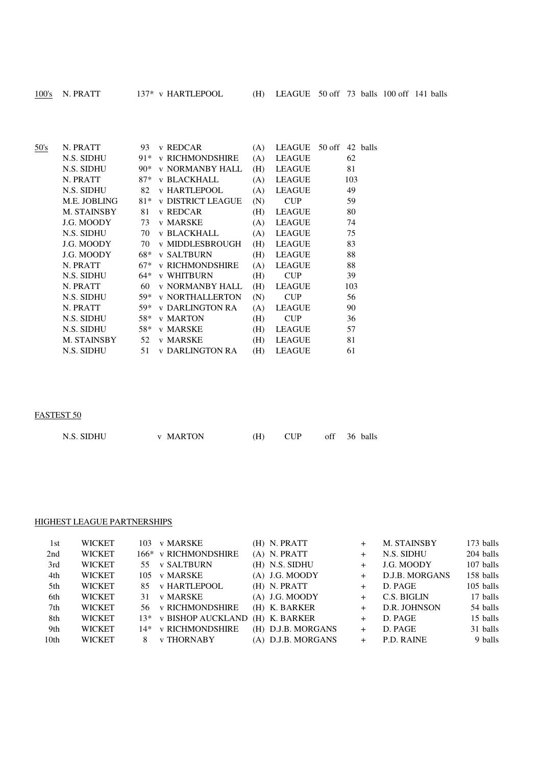| $100$ 's | N. PRATT |
|----------|----------|
|          |          |

| 50's | N. PRATT     | 93    | v REDCAR               | (A) |               | LEAGUE 50 off 42 balls |
|------|--------------|-------|------------------------|-----|---------------|------------------------|
|      | N.S. SIDHU   | 91*   | <b>v RICHMONDSHIRE</b> | (A) | LEAGUE        | 62                     |
|      | N.S. SIDHU   | $90*$ | v NORMANBY HALL        | (H) | LEAGUE        | 81                     |
|      | N. PRATT     | $87*$ | v BLACKHALL            | (A) | LEAGUE        | 103                    |
|      | N.S. SIDHU   |       | 82 v HARTLEPOOL        | (A) | LEAGUE        | 49                     |
|      | M.E. JOBLING |       | 81* v DISTRICT LEAGUE  | (N) | <b>CUP</b>    | 59                     |
|      | M. STAINSBY  | 81    | v REDCAR               | (H) | LEAGUE        | 80                     |
|      | J.G. MOODY   |       | 73 v MARSKE            | (A) | LEAGUE        | 74                     |
|      | N.S. SIDHU   |       | 70 v BLACKHALL         | (A) | LEAGUE        | 75                     |
|      | J.G. MOODY   |       | 70 v MIDDLESBROUGH     | (H) | LEAGUE        | 83                     |
|      | J.G. MOODY   |       | 68* v SALTBURN         | (H) | LEAGUE        | 88                     |
|      | N. PRATT     | 67*   | <b>v RICHMONDSHIRE</b> | (A) | LEAGUE        | 88                     |
|      | N.S. SIDHU   | 64*   | <b>v WHITBURN</b>      | (H) | <b>CUP</b>    | 39                     |
|      | N. PRATT     | 60    | v NORMANBY HALL        | (H) | LEAGUE        | 103                    |
|      | N.S. SIDHU   |       | 59* v NORTHALLERTON    | (N) | <b>CUP</b>    | 56                     |
|      | N. PRATT     | 59*   | y DARLINGTON RA        | (A) | LEAGUE        | 90                     |
|      | N.S. SIDHU   |       | 58* v MARTON           | (H) | <b>CUP</b>    | 36                     |
|      | N.S. SIDHU   |       | 58* v MARSKE           | (H) | LEAGUE        | 57                     |
|      | M. STAINSBY  |       | 52 v MARSKE            | (H) | LEAGUE        | 81                     |
|      | N.S. SIDHU   |       | 51 v DARLINGTON RA     | (H) | <b>LEAGUE</b> | 61                     |
|      |              |       |                        |     |               |                        |

# FASTEST 50

| N.S. SIDHU | <b>v MARTON</b> | (H) |  | off 36 balls |
|------------|-----------------|-----|--|--------------|
|            |                 |     |  |              |

### HIGHEST LEAGUE PARTNERSHIPS

| 1st              | <b>WICKET</b> | 103 | v MARSKE              | (H) N. PRATT       | $^+$   | <b>M. STAINSBY</b> | 173 balls |
|------------------|---------------|-----|-----------------------|--------------------|--------|--------------------|-----------|
| 2nd              | <b>WICKET</b> |     | 166* v RICHMONDSHIRE  | $(A)$ N. PRATT     | $^{+}$ | N.S. SIDHU         | 204 balls |
| 3rd              | <b>WICKET</b> |     | 55 v SALTBURN         | (H) N.S. SIDHU     | $+$    | J.G. MOODY         | 107 balls |
| 4th              | <b>WICKET</b> | 105 | v MARSKE              | $(A)$ J.G. MOODY   | $^{+}$ | D.J.B. MORGANS     | 158 balls |
| 5th              | <b>WICKET</b> |     | 85 v HARTLEPOOL       | $(H)$ N. PRATT     | $^{+}$ | D. PAGE            | 105 balls |
| 6th              | <b>WICKET</b> | 31  | v MARSKE              | $(A)$ J.G. MOODY   | $^{+}$ | C.S. BIGLIN        | 17 balls  |
| 7th              | <b>WICKET</b> |     | 56 v RICHMONDSHIRE    | (H) K. BARKER      | $^{+}$ | D.R. JOHNSON       | 54 balls  |
| 8th              | <b>WICKET</b> |     | 13* v BISHOP AUCKLAND | (H) K. BARKER      | $^{+}$ | D. PAGE            | 15 balls  |
| 9th              | <b>WICKET</b> |     | 14* v RICHMONDSHIRE   | (H) D.J.B. MORGANS | $^{+}$ | D. PAGE            | 31 balls  |
| 10 <sub>th</sub> | <b>WICKET</b> |     | <b>v THORNABY</b>     | (A) D.J.B. MORGANS | $^{+}$ | P.D. RAINE         | 9 balls   |
|                  |               |     |                       |                    |        |                    |           |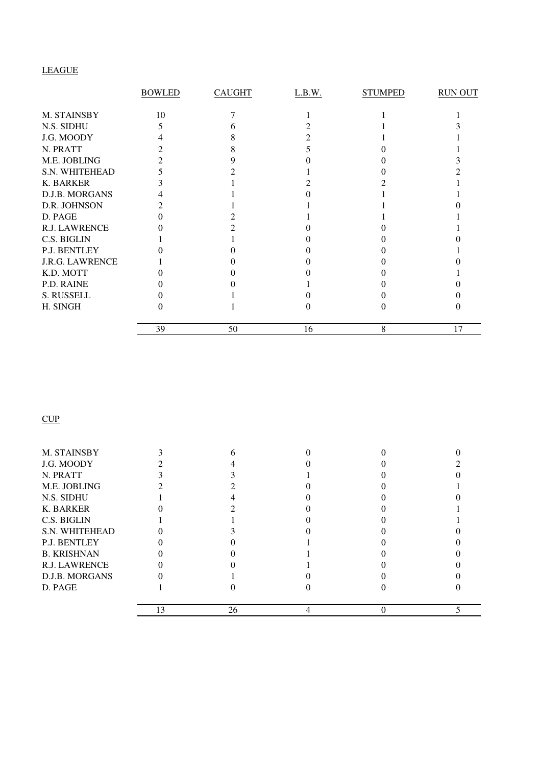# LEAGUE

|                        | <b>BOWLED</b> | <b>CAUGHT</b> | L.B.W. | <b>STUMPED</b> | <b>RUN OUT</b> |
|------------------------|---------------|---------------|--------|----------------|----------------|
| M. STAINSBY            | 10            |               |        |                |                |
| N.S. SIDHU             |               |               |        |                |                |
| J.G. MOODY             |               |               |        |                |                |
| N. PRATT               |               |               |        |                |                |
| M.E. JOBLING           |               |               |        |                |                |
| S.N. WHITEHEAD         |               |               |        |                |                |
| K. BARKER              |               |               |        |                |                |
| D.J.B. MORGANS         |               |               |        |                |                |
| D.R. JOHNSON           |               |               |        |                |                |
| D. PAGE                |               |               |        |                |                |
| <b>R.J. LAWRENCE</b>   |               |               |        |                |                |
| C.S. BIGLIN            |               |               |        |                |                |
| P.J. BENTLEY           |               |               |        |                |                |
| <b>J.R.G. LAWRENCE</b> |               |               |        |                |                |
| K.D. MOTT              |               |               |        |                |                |
| P.D. RAINE             |               |               |        |                |                |
| S. RUSSELL             |               |               |        |                |                |
| H. SINGH               |               |               |        |                |                |
|                        | 39            | 50            | 16     | 8              | 17             |

**CUP** 

| M. STAINSBY          |    |    |  |  |
|----------------------|----|----|--|--|
| J.G. MOODY           |    |    |  |  |
| N. PRATT             |    |    |  |  |
| M.E. JOBLING         |    |    |  |  |
| N.S. SIDHU           |    |    |  |  |
| <b>K. BARKER</b>     |    |    |  |  |
| C.S. BIGLIN          |    |    |  |  |
| S.N. WHITEHEAD       |    |    |  |  |
| P.J. BENTLEY         |    |    |  |  |
| <b>B. KRISHNAN</b>   |    |    |  |  |
| <b>R.J. LAWRENCE</b> |    |    |  |  |
| D.J.B. MORGANS       |    |    |  |  |
| D. PAGE              |    |    |  |  |
|                      | 13 | 26 |  |  |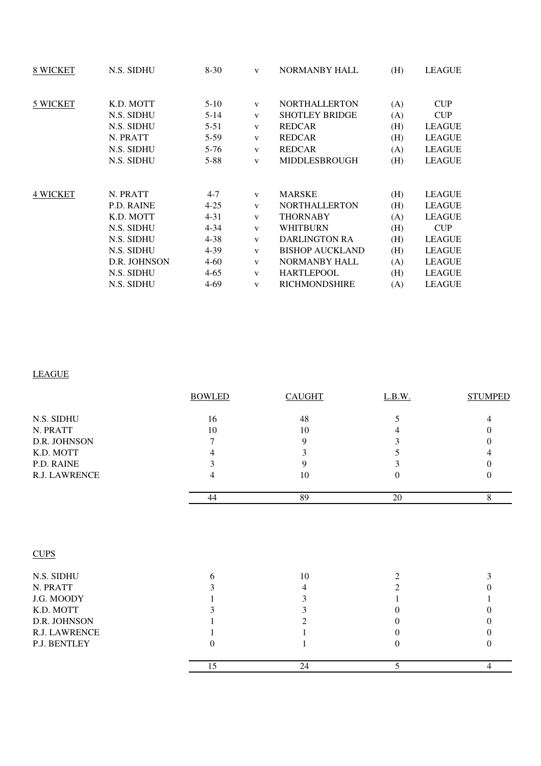| 8 WICKET        | N.S. SIDHU        | $8-30$   | $\mathbf{V}$ | NORMANBY HALL          | (H) | LEAGUE        |
|-----------------|-------------------|----------|--------------|------------------------|-----|---------------|
| 5 WICKET        | K.D. MOTT         | $5-10$   | V            | <b>NORTHALLERTON</b>   | (A) | <b>CUP</b>    |
|                 | N.S. SIDHU        | $5 - 14$ | $\mathbf{V}$ | <b>SHOTLEY BRIDGE</b>  | (A) | <b>CUP</b>    |
|                 | N.S. SIDHU        | $5 - 51$ | $\mathbf{V}$ | <b>REDCAR</b>          | (H) | <b>LEAGUE</b> |
|                 | N. PRATT          | $5-59$   | $\mathbf{V}$ | <b>REDCAR</b>          | (H) | <b>LEAGUE</b> |
|                 | N.S. SIDHU        | $5 - 76$ | $\mathbf{V}$ | <b>REDCAR</b>          | (A) | <b>LEAGUE</b> |
|                 | N.S. SIDHU        | $5 - 88$ | $\mathbf{V}$ | <b>MIDDLESBROUGH</b>   | (H) | <b>LEAGUE</b> |
|                 |                   |          |              |                        |     |               |
| <b>4 WICKET</b> | N. PRATT          | $4 - 7$  | V            | <b>MARSKE</b>          | (H) | LEAGUE        |
|                 | <b>P.D. RAINE</b> | $4 - 25$ | $\mathbf{V}$ | <b>NORTHALLERTON</b>   | (H) | <b>LEAGUE</b> |
|                 | K.D. MOTT         | $4 - 31$ | $\mathbf{V}$ | <b>THORNABY</b>        | (A) | <b>LEAGUE</b> |
|                 | N.S. SIDHU        | $4 - 34$ | $\mathbf{V}$ | <b>WHITBURN</b>        | (H) | <b>CUP</b>    |
|                 | N.S. SIDHU        | $4 - 38$ | $\mathbf{V}$ | <b>DARLINGTON RA</b>   | (H) | <b>LEAGUE</b> |
|                 | N.S. SIDHU        | $4 - 39$ | $\mathbf{V}$ | <b>BISHOP AUCKLAND</b> | (H) | <b>LEAGUE</b> |
|                 | D.R. JOHNSON      | $4 - 60$ | $\mathbf{V}$ | <b>NORMANBY HALL</b>   | (A) | <b>LEAGUE</b> |
|                 | N.S. SIDHU        | $4 - 65$ | $\mathbf{V}$ | <b>HARTLEPOOL</b>      | (H) | <b>LEAGUE</b> |
|                 | N.S. SIDHU        | 4-69     | $\mathbf{V}$ | <b>RICHMONDSHIRE</b>   | (A) | <b>LEAGUE</b> |
|                 |                   |          |              |                        |     |               |

# LEAGUE

|               | <b>BOWLED</b> | <b>CAUGHT</b>  | L.B.W. | <b>STUMPED</b> |
|---------------|---------------|----------------|--------|----------------|
| N.S. SIDHU    | 16            | 48             | 5      |                |
| N. PRATT      | 10            | 10             |        | 0              |
| D.R. JOHNSON  | 7             | 9              | 3      | 0              |
| K.D. MOTT     | 4             | $\mathfrak{Z}$ | 5      |                |
| P.D. RAINE    | 3             | 9              | 3      | 0              |
| R.J. LAWRENCE | 4             | 10             | 0      | $\theta$       |
|               | 44            | 89             | 20     | 8              |
| <b>CUPS</b>   |               |                |        |                |
| N.S. SIDHU    | 6             | $10\,$         | 2      | 3              |
| N. PRATT      |               | 4              | 2      |                |
| J.G. MOODY    |               | 3              |        |                |
| K.D. MOTT     |               | 3              |        |                |
| D.R. JOHNSON  |               | $\overline{c}$ |        | 0              |
| R.J. LAWRENCE |               |                |        |                |
| P.J. BENTLEY  | 0             |                | 0      | $\theta$       |
|               | 15            | 24             | 5      | 4              |